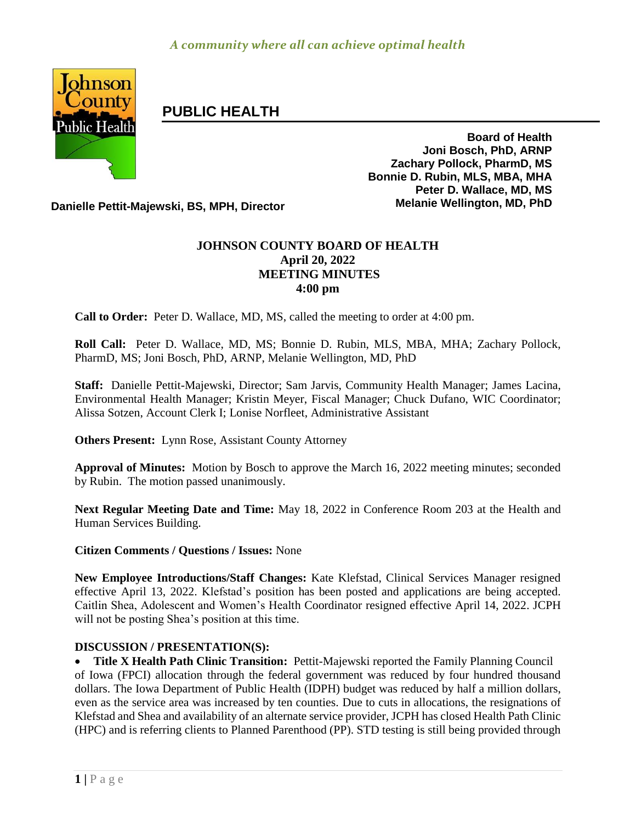

# **PUBLIC HEALTH**

**Board of Health Joni Bosch, PhD, ARNP Zachary Pollock, PharmD, MS Bonnie D. Rubin, MLS, MBA, MHA Peter D. Wallace, MD, MS**

**Danielle Pettit-Majewski, BS, MPH, Director Melanie Wellington, MD, PhD**

## **JOHNSON COUNTY BOARD OF HEALTH April 20, 2022 MEETING MINUTES 4:00 pm**

**Call to Order:** Peter D. Wallace, MD, MS, called the meeting to order at 4:00 pm.

**Roll Call:** Peter D. Wallace, MD, MS; Bonnie D. Rubin, MLS, MBA, MHA; Zachary Pollock, PharmD, MS; Joni Bosch, PhD, ARNP, Melanie Wellington, MD, PhD

**Staff:** Danielle Pettit-Majewski, Director; Sam Jarvis, Community Health Manager; James Lacina, Environmental Health Manager; Kristin Meyer, Fiscal Manager; Chuck Dufano, WIC Coordinator; Alissa Sotzen, Account Clerk I; Lonise Norfleet, Administrative Assistant

**Others Present:** Lynn Rose, Assistant County Attorney

**Approval of Minutes:** Motion by Bosch to approve the March 16, 2022 meeting minutes; seconded by Rubin. The motion passed unanimously.

**Next Regular Meeting Date and Time:** May 18, 2022 in Conference Room 203 at the Health and Human Services Building.

### **Citizen Comments / Questions / Issues:** None

**New Employee Introductions/Staff Changes:** Kate Klefstad, Clinical Services Manager resigned effective April 13, 2022. Klefstad's position has been posted and applications are being accepted. Caitlin Shea, Adolescent and Women's Health Coordinator resigned effective April 14, 2022. JCPH will not be posting Shea's position at this time.

### **DISCUSSION / PRESENTATION(S):**

 **Title X Health Path Clinic Transition:** Pettit-Majewski reported the Family Planning Council of Iowa (FPCI) allocation through the federal government was reduced by four hundred thousand dollars. The Iowa Department of Public Health (IDPH) budget was reduced by half a million dollars, even as the service area was increased by ten counties. Due to cuts in allocations, the resignations of Klefstad and Shea and availability of an alternate service provider, JCPH has closed Health Path Clinic (HPC) and is referring clients to Planned Parenthood (PP). STD testing is still being provided through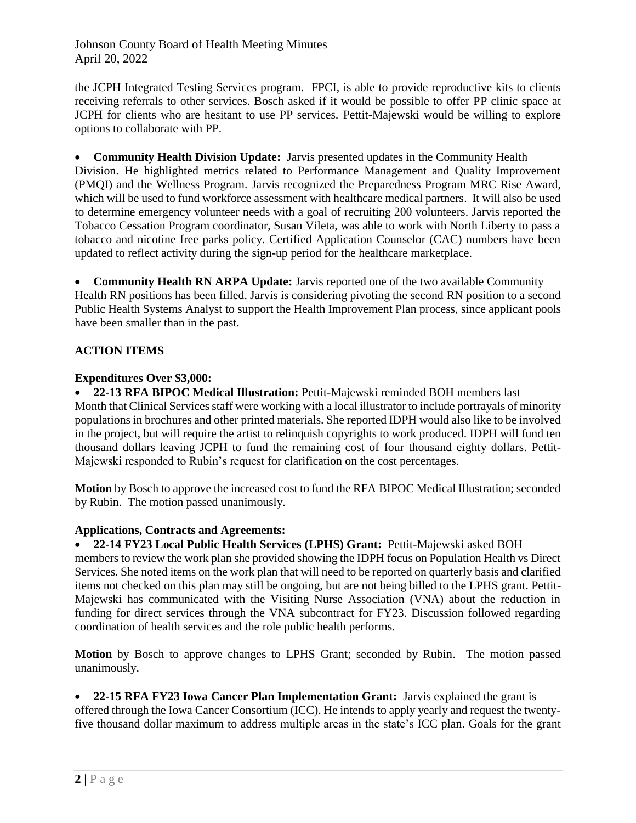Johnson County Board of Health Meeting Minutes April 20, 2022

the JCPH Integrated Testing Services program. FPCI, is able to provide reproductive kits to clients receiving referrals to other services. Bosch asked if it would be possible to offer PP clinic space at JCPH for clients who are hesitant to use PP services. Pettit-Majewski would be willing to explore options to collaborate with PP.

 **Community Health Division Update:** Jarvis presented updates in the Community Health Division. He highlighted metrics related to Performance Management and Quality Improvement (PMQI) and the Wellness Program. Jarvis recognized the Preparedness Program MRC Rise Award, which will be used to fund workforce assessment with healthcare medical partners. It will also be used to determine emergency volunteer needs with a goal of recruiting 200 volunteers. Jarvis reported the Tobacco Cessation Program coordinator, Susan Vileta, was able to work with North Liberty to pass a tobacco and nicotine free parks policy. Certified Application Counselor (CAC) numbers have been updated to reflect activity during the sign-up period for the healthcare marketplace.

 **Community Health RN ARPA Update:** Jarvis reported one of the two available Community Health RN positions has been filled. Jarvis is considering pivoting the second RN position to a second Public Health Systems Analyst to support the Health Improvement Plan process, since applicant pools have been smaller than in the past.

### **ACTION ITEMS**

#### **Expenditures Over \$3,000:**

 **22-13 RFA BIPOC Medical Illustration:** Pettit-Majewski reminded BOH members last Month that Clinical Services staff were working with a local illustrator to include portrayals of minority populations in brochures and other printed materials. She reported IDPH would also like to be involved in the project, but will require the artist to relinquish copyrights to work produced. IDPH will fund ten thousand dollars leaving JCPH to fund the remaining cost of four thousand eighty dollars. Pettit-Majewski responded to Rubin's request for clarification on the cost percentages.

**Motion** by Bosch to approve the increased cost to fund the RFA BIPOC Medical Illustration; seconded by Rubin. The motion passed unanimously.

### **Applications, Contracts and Agreements:**

### **22-14 FY23 Local Public Health Services (LPHS) Grant:** Pettit-Majewski asked BOH

members to review the work plan she provided showing the IDPH focus on Population Health vs Direct Services. She noted items on the work plan that will need to be reported on quarterly basis and clarified items not checked on this plan may still be ongoing, but are not being billed to the LPHS grant. Pettit-Majewski has communicated with the Visiting Nurse Association (VNA) about the reduction in funding for direct services through the VNA subcontract for FY23. Discussion followed regarding coordination of health services and the role public health performs.

**Motion** by Bosch to approve changes to LPHS Grant; seconded by Rubin. The motion passed unanimously.

 **22-15 RFA FY23 Iowa Cancer Plan Implementation Grant:** Jarvis explained the grant is offered through the Iowa Cancer Consortium (ICC). He intends to apply yearly and request the twentyfive thousand dollar maximum to address multiple areas in the state's ICC plan. Goals for the grant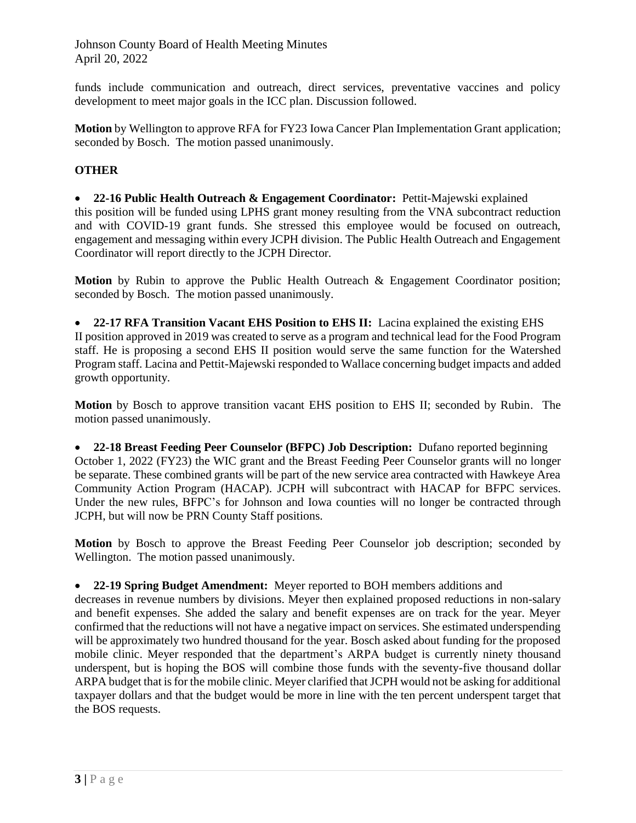Johnson County Board of Health Meeting Minutes April 20, 2022

funds include communication and outreach, direct services, preventative vaccines and policy development to meet major goals in the ICC plan. Discussion followed.

**Motion** by Wellington to approve RFA for FY23 Iowa Cancer Plan Implementation Grant application; seconded by Bosch. The motion passed unanimously.

#### **OTHER**

 **22-16 Public Health Outreach & Engagement Coordinator:** Pettit-Majewski explained this position will be funded using LPHS grant money resulting from the VNA subcontract reduction and with COVID-19 grant funds. She stressed this employee would be focused on outreach, engagement and messaging within every JCPH division. The Public Health Outreach and Engagement Coordinator will report directly to the JCPH Director.

**Motion** by Rubin to approve the Public Health Outreach & Engagement Coordinator position; seconded by Bosch. The motion passed unanimously.

 **22-17 RFA Transition Vacant EHS Position to EHS II:** Lacina explained the existing EHS II position approved in 2019 was created to serve as a program and technical lead for the Food Program staff. He is proposing a second EHS II position would serve the same function for the Watershed Program staff. Lacina and Pettit-Majewski responded to Wallace concerning budget impacts and added growth opportunity.

**Motion** by Bosch to approve transition vacant EHS position to EHS II; seconded by Rubin. The motion passed unanimously.

 **22-18 Breast Feeding Peer Counselor (BFPC) Job Description:** Dufano reported beginning October 1, 2022 (FY23) the WIC grant and the Breast Feeding Peer Counselor grants will no longer be separate. These combined grants will be part of the new service area contracted with Hawkeye Area Community Action Program (HACAP). JCPH will subcontract with HACAP for BFPC services. Under the new rules, BFPC's for Johnson and Iowa counties will no longer be contracted through JCPH, but will now be PRN County Staff positions.

**Motion** by Bosch to approve the Breast Feeding Peer Counselor job description; seconded by Wellington. The motion passed unanimously.

**22-19 Spring Budget Amendment:** Meyer reported to BOH members additions and

decreases in revenue numbers by divisions. Meyer then explained proposed reductions in non-salary and benefit expenses. She added the salary and benefit expenses are on track for the year. Meyer confirmed that the reductions will not have a negative impact on services. She estimated underspending will be approximately two hundred thousand for the year. Bosch asked about funding for the proposed mobile clinic. Meyer responded that the department's ARPA budget is currently ninety thousand underspent, but is hoping the BOS will combine those funds with the seventy-five thousand dollar ARPA budget that is for the mobile clinic. Meyer clarified that JCPH would not be asking for additional taxpayer dollars and that the budget would be more in line with the ten percent underspent target that the BOS requests.